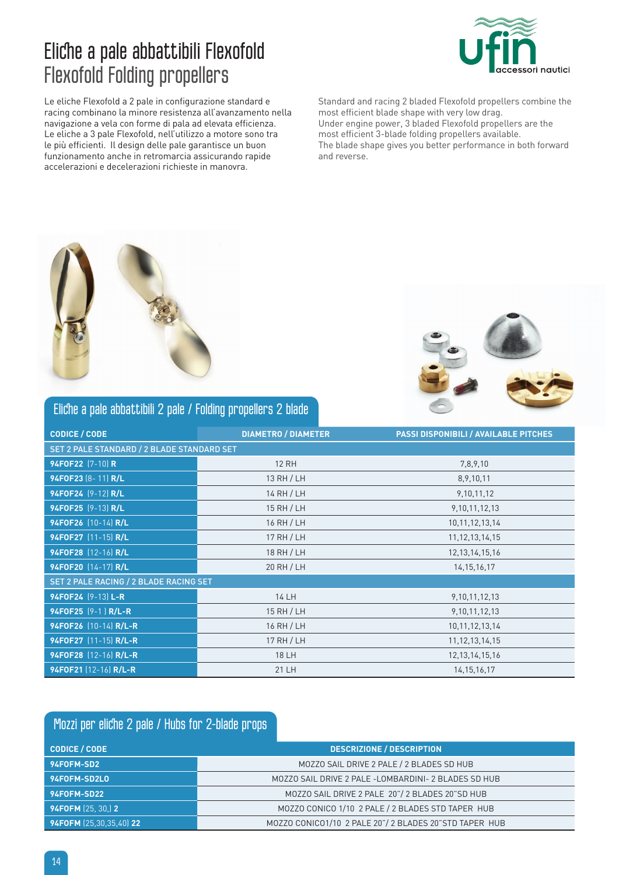# Eliche a pale abbattibili Flexofold Flexofold Folding propellers

Le eliche Flexofold a 2 pale in configurazione standard e racing combinano la minore resistenza all'avanzamento nella navigazione a vela con forme di pala ad elevata efficienza. Le eliche a 3 pale Flexofold, nell'utilizzo a motore sono tra le più efficienti. Il design delle pale garantisce un buon funzionamento anche in retromarcia assicurando rapide accelerazioni e decelerazioni richieste in manovra.

Standard and racing 2 bladed Flexofold propellers combine the most efficient blade shape with very low drag. Under engine power, 3 bladed Flexofold propellers are the most efficient 3-blade folding propellers available. The blade shape gives you better performance in both forward and reverse.

ori nautici





#### Eliche a pale abbattibili 2 pale / Folding propellers 2 blade

| <b>CODICE / CODE</b>                       | <b>DIAMETRO / DIAMETER</b> | <b>PASSI DISPONIBILI / AVAILABLE PITCHES</b> |  |  |  |
|--------------------------------------------|----------------------------|----------------------------------------------|--|--|--|
| SET 2 PALE STANDARD / 2 BLADE STANDARD SET |                            |                                              |  |  |  |
| 94F0F22 [7-10] R                           | <b>12 RH</b>               | 7,8,9,10                                     |  |  |  |
| 94F0F23 (8-11) R/L                         | 13 RH / LH                 | 8, 9, 10, 11                                 |  |  |  |
| 94F0F24 (9-12) R/L                         | 14 RH / LH                 | 9,10,11,12                                   |  |  |  |
| 94F0F25 (9-13) R/L                         | 15 RH / LH                 | 9, 10, 11, 12, 13                            |  |  |  |
| 94F0F26 (10-14) R/L                        | 16 RH / LH                 | 10, 11, 12, 13, 14                           |  |  |  |
| 94F0F27 [11-15] R/L                        | 17 RH / LH                 | 11, 12, 13, 14, 15                           |  |  |  |
| 94F0F28 [12-16] R/L                        | 18 RH / LH                 | 12, 13, 14, 15, 16                           |  |  |  |
| 94F0F20 [14-17] R/L                        | 20 RH / LH                 | 14, 15, 16, 17                               |  |  |  |
| SET 2 PALE RACING / 2 BLADE RACING SET     |                            |                                              |  |  |  |
| 94F0F24 (9-13) L-R                         | 14 LH                      | 9, 10, 11, 12, 13                            |  |  |  |
| 94F0F25 (9-1) R/L-R                        | 15 RH / LH                 | 9, 10, 11, 12, 13                            |  |  |  |
| 94F0F26 (10-14) R/L-R                      | 16 RH / LH                 | 10, 11, 12, 13, 14                           |  |  |  |
| 94F0F27 (11-15) R/L-R                      | 17 RH / LH                 | 11, 12, 13, 14, 15                           |  |  |  |
| 94F0F28 (12-16) R/L-R                      | <b>18 LH</b>               | 12, 13, 14, 15, 16                           |  |  |  |
| 94F0F21 (12-16) R/L-R                      | 21 LH                      | 14, 15, 16, 17                               |  |  |  |

#### Mozzi per eliche 2 pale / Hubs for 2-blade props **CodICE / CODE DESCRIZIONE / DESCRIPTION 94FOFM-SD2** MOZZO SAIL DRIVE 2 PALE / 2 BLADES SD HUB **94FOFM-SD2LO** MOZZO SAIL DRIVE 2 PALE -LOMBARDINI- 2 BLADES SD HUB **94FOFM-SD22** MOZZO SAIL DRIVE 2 PALE 20"/ 2 BLADES 20"SD HUB **94FOFM** (25, 30,) **2 MOZZO CONICO 1/10 2 PALE / 2 BLADES STD TAPER HUB 94FOFM** (25,30,35,40) **22** MOZZO CONICO1/10 2 PALE 20"/ 2 BLADES 20"STD TAPER HUB